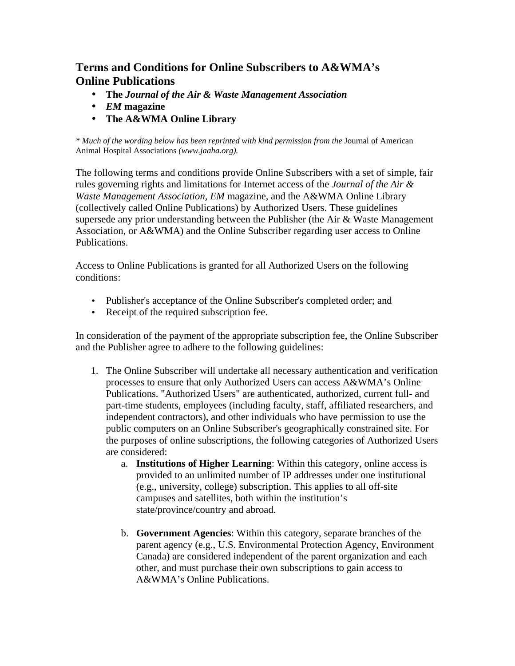## **Terms and Conditions for Online Subscribers to A&WMA's Online Publications**

- **The** *Journal of the Air & Waste Management Association*
- *EM* **magazine**
- **The A&WMA Online Library**

*\* Much of the wording below has been reprinted with kind permission from the* Journal of American Animal Hospital Associations *(www.jaaha.org).*

The following terms and conditions provide Online Subscribers with a set of simple, fair rules governing rights and limitations for Internet access of the *Journal of the Air & Waste Management Association, EM* magazine, and the A&WMA Online Library (collectively called Online Publications) by Authorized Users. These guidelines supersede any prior understanding between the Publisher (the Air & Waste Management Association, or A&WMA) and the Online Subscriber regarding user access to Online Publications.

Access to Online Publications is granted for all Authorized Users on the following conditions:

- Publisher's acceptance of the Online Subscriber's completed order; and
- Receipt of the required subscription fee.

In consideration of the payment of the appropriate subscription fee, the Online Subscriber and the Publisher agree to adhere to the following guidelines:

- 1. The Online Subscriber will undertake all necessary authentication and verification processes to ensure that only Authorized Users can access A&WMA's Online Publications. "Authorized Users" are authenticated, authorized, current full- and part-time students, employees (including faculty, staff, affiliated researchers, and independent contractors), and other individuals who have permission to use the public computers on an Online Subscriber's geographically constrained site. For the purposes of online subscriptions, the following categories of Authorized Users are considered:
	- a. **Institutions of Higher Learning**: Within this category, online access is provided to an unlimited number of IP addresses under one institutional (e.g., university, college) subscription. This applies to all off-site campuses and satellites, both within the institution's state/province/country and abroad.
	- b. **Government Agencies**: Within this category, separate branches of the parent agency (e.g., U.S. Environmental Protection Agency, Environment Canada) are considered independent of the parent organization and each other, and must purchase their own subscriptions to gain access to A&WMA's Online Publications.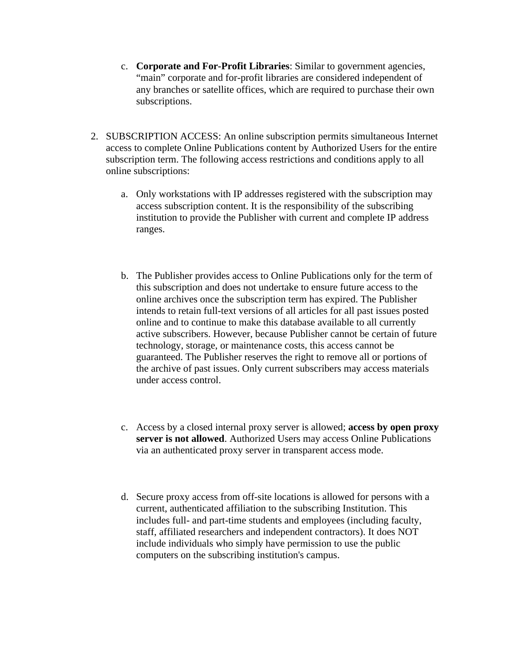- c. **Corporate and For-Profit Libraries**: Similar to government agencies, "main" corporate and for-profit libraries are considered independent of any branches or satellite offices, which are required to purchase their own subscriptions.
- 2. SUBSCRIPTION ACCESS: An online subscription permits simultaneous Internet access to complete Online Publications content by Authorized Users for the entire subscription term. The following access restrictions and conditions apply to all online subscriptions:
	- a. Only workstations with IP addresses registered with the subscription may access subscription content. It is the responsibility of the subscribing institution to provide the Publisher with current and complete IP address ranges.
	- b. The Publisher provides access to Online Publications only for the term of this subscription and does not undertake to ensure future access to the online archives once the subscription term has expired. The Publisher intends to retain full-text versions of all articles for all past issues posted online and to continue to make this database available to all currently active subscribers. However, because Publisher cannot be certain of future technology, storage, or maintenance costs, this access cannot be guaranteed. The Publisher reserves the right to remove all or portions of the archive of past issues. Only current subscribers may access materials under access control.
	- c. Access by a closed internal proxy server is allowed; **access by open proxy server is not allowed**. Authorized Users may access Online Publications via an authenticated proxy server in transparent access mode.
	- d. Secure proxy access from off-site locations is allowed for persons with a current, authenticated affiliation to the subscribing Institution. This includes full- and part-time students and employees (including faculty, staff, affiliated researchers and independent contractors). It does NOT include individuals who simply have permission to use the public computers on the subscribing institution's campus.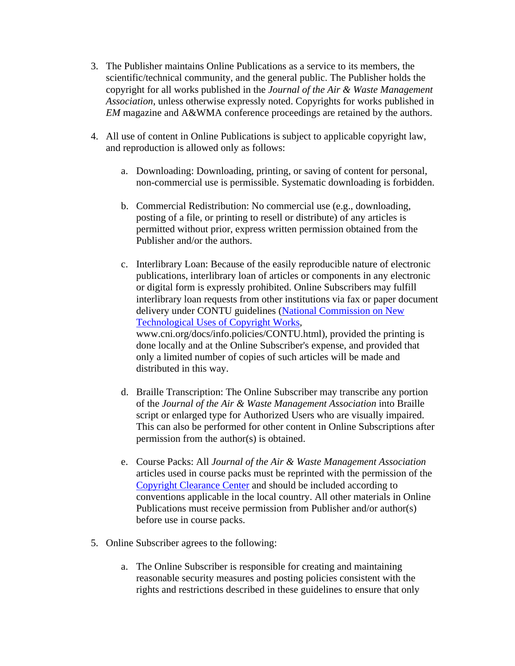- 3. The Publisher maintains Online Publications as a service to its members, the scientific/technical community, and the general public. The Publisher holds the copyright for all works published in the *Journal of the Air & Waste Management Association*, unless otherwise expressly noted. Copyrights for works published in *EM* magazine and A&WMA conference proceedings are retained by the authors.
- 4. All use of content in Online Publications is subject to applicable copyright law, and reproduction is allowed only as follows:
	- a. Downloading: Downloading, printing, or saving of content for personal, non-commercial use is permissible. Systematic downloading is forbidden.
	- b. Commercial Redistribution: No commercial use (e.g., downloading, posting of a file, or printing to resell or distribute) of any articles is permitted without prior, express written permission obtained from the Publisher and/or the authors.
	- c. Interlibrary Loan: Because of the easily reproducible nature of electronic publications, interlibrary loan of articles or components in any electronic or digital form is expressly prohibited. Online Subscribers may fulfill interlibrary loan requests from other institutions via fax or paper document delivery under CONTU guidelines (National Commission on New Technological Uses of Copyright Works, www.cni.org/docs/info.policies/CONTU.html), provided the printing is done locally and at the Online Subscriber's expense, and provided that only a limited number of copies of such articles will be made and distributed in this way.
	- d. Braille Transcription: The Online Subscriber may transcribe any portion of the *Journal of the Air & Waste Management Association* into Braille script or enlarged type for Authorized Users who are visually impaired. This can also be performed for other content in Online Subscriptions after permission from the author(s) is obtained.
	- e. Course Packs: All *Journal of the Air & Waste Management Association* articles used in course packs must be reprinted with the permission of the Copyright Clearance Center and should be included according to conventions applicable in the local country. All other materials in Online Publications must receive permission from Publisher and/or author(s) before use in course packs.
- 5. Online Subscriber agrees to the following:
	- a. The Online Subscriber is responsible for creating and maintaining reasonable security measures and posting policies consistent with the rights and restrictions described in these guidelines to ensure that only